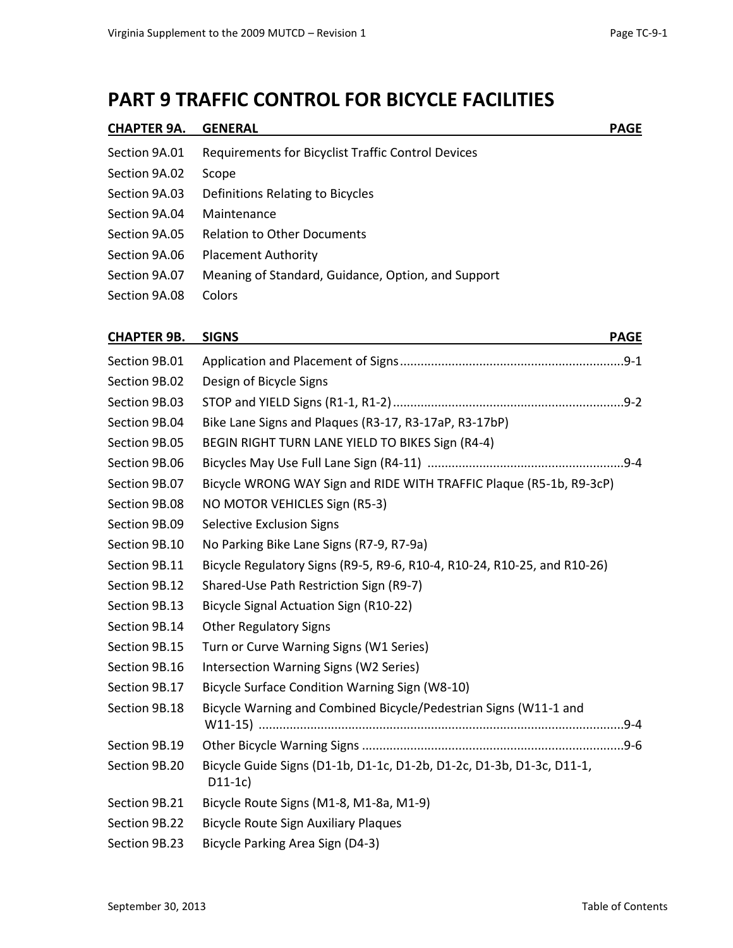### **PART 9 TRAFFIC CONTROL FOR BICYCLE FACILITIES**

| <b>CHAPTER 9A.</b> | <b>GENERAL</b>                                            | <b>PAGE</b> |
|--------------------|-----------------------------------------------------------|-------------|
| Section 9A.01      | <b>Requirements for Bicyclist Traffic Control Devices</b> |             |
| Section 9A.02      | Scope                                                     |             |
| Section 9A.03      | Definitions Relating to Bicycles                          |             |
| Section 9A.04      | Maintenance                                               |             |
| Section 9A.05      | <b>Relation to Other Documents</b>                        |             |
| Section 9A.06      | <b>Placement Authority</b>                                |             |
| Section 9A.07      | Meaning of Standard, Guidance, Option, and Support        |             |
| Section 9A.08      | Colors                                                    |             |
|                    |                                                           |             |

### **CHAPTER 9B. SIGNS PAGE**

| Design of Bicycle Signs                                                           |  |
|-----------------------------------------------------------------------------------|--|
|                                                                                   |  |
| Bike Lane Signs and Plaques (R3-17, R3-17aP, R3-17bP)                             |  |
| BEGIN RIGHT TURN LANE YIELD TO BIKES Sign (R4-4)                                  |  |
|                                                                                   |  |
| Bicycle WRONG WAY Sign and RIDE WITH TRAFFIC Plaque (R5-1b, R9-3cP)               |  |
| NO MOTOR VEHICLES Sign (R5-3)                                                     |  |
| <b>Selective Exclusion Signs</b>                                                  |  |
| No Parking Bike Lane Signs (R7-9, R7-9a)                                          |  |
| Bicycle Regulatory Signs (R9-5, R9-6, R10-4, R10-24, R10-25, and R10-26)          |  |
| Shared-Use Path Restriction Sign (R9-7)                                           |  |
| Bicycle Signal Actuation Sign (R10-22)                                            |  |
| <b>Other Regulatory Signs</b>                                                     |  |
| Turn or Curve Warning Signs (W1 Series)                                           |  |
| Intersection Warning Signs (W2 Series)                                            |  |
| Bicycle Surface Condition Warning Sign (W8-10)                                    |  |
| Bicycle Warning and Combined Bicycle/Pedestrian Signs (W11-1 and                  |  |
|                                                                                   |  |
| Bicycle Guide Signs (D1-1b, D1-1c, D1-2b, D1-2c, D1-3b, D1-3c, D11-1,<br>$D11-1c$ |  |
| Bicycle Route Signs (M1-8, M1-8a, M1-9)                                           |  |
| <b>Bicycle Route Sign Auxiliary Plaques</b>                                       |  |
| Bicycle Parking Area Sign (D4-3)                                                  |  |
|                                                                                   |  |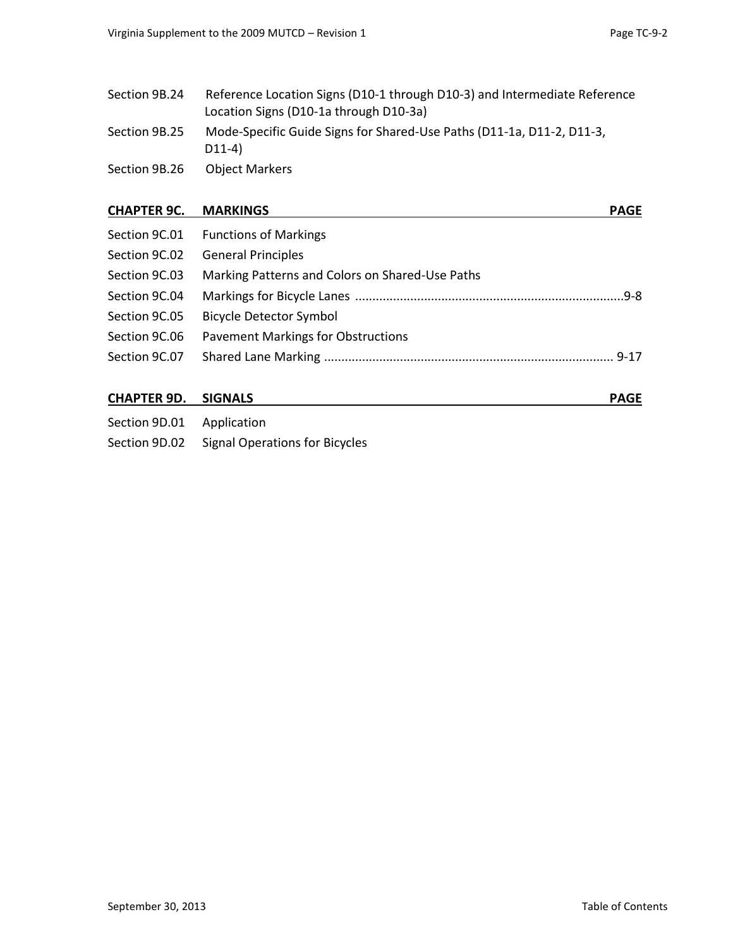| Section 9B.24 | Reference Location Signs (D10-1 through D10-3) and Intermediate Reference<br>Location Signs (D10-1a through D10-3a) |
|---------------|---------------------------------------------------------------------------------------------------------------------|
| Section 9B.25 | Mode-Specific Guide Signs for Shared-Use Paths (D11-1a, D11-2, D11-3,<br>$D11-4)$                                   |
| Section 9B.26 | <b>Object Markers</b>                                                                                               |

#### **CHAPTER 9C. MARKINGS PAGE**

|               | Section 9C.01 Functions of Markings             |
|---------------|-------------------------------------------------|
| Section 9C.02 | <b>General Principles</b>                       |
| Section 9C.03 | Marking Patterns and Colors on Shared-Use Paths |
| Section 9C.04 |                                                 |
| Section 9C.05 | <b>Bicycle Detector Symbol</b>                  |
| Section 9C.06 | <b>Pavement Markings for Obstructions</b>       |
| Section 9C.07 |                                                 |
|               |                                                 |

#### **CHAPTER 9D. SIGNALS PAGE**

| Section 9D.01 | Application                                  |
|---------------|----------------------------------------------|
|               | Section 9D.02 Signal Operations for Bicycles |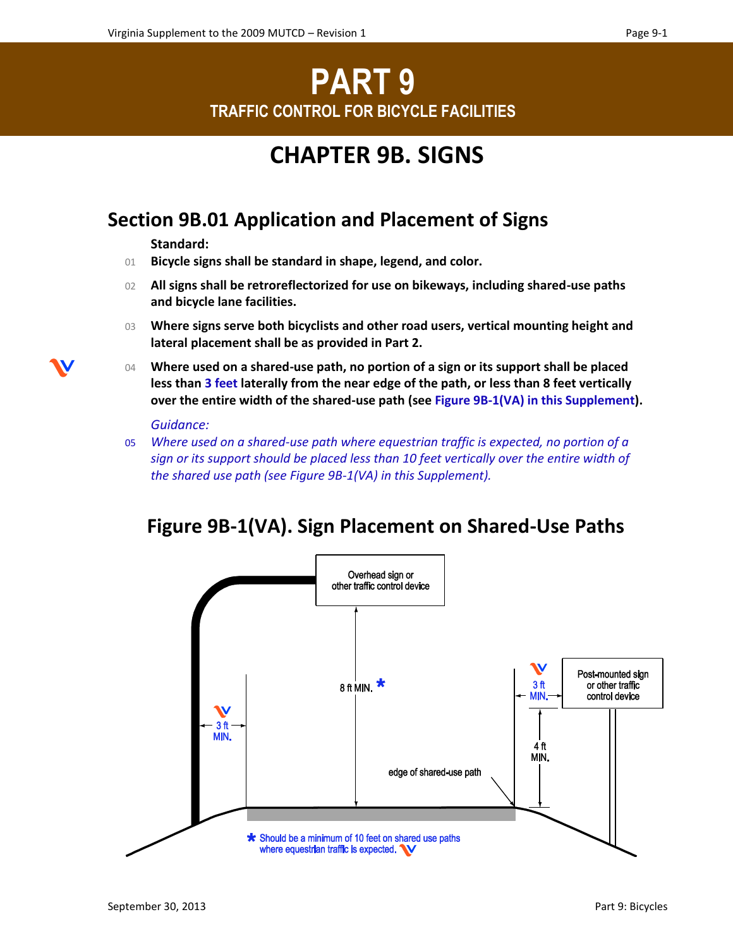# **PART 9 TRAFFIC CONTROL FOR BICYCLE FACILITIES**

## **CHAPTER 9B. SIGNS**

## **Section 9B.01 Application and Placement of Signs**

**Standard:**

- 01 **Bicycle signs shall be standard in shape, legend, and color.**
- 02 **All signs shall be retroreflectorized for use on bikeways, including shared-use paths and bicycle lane facilities.**
- 03 **Where signs serve both bicyclists and other road users, vertical mounting height and lateral placement shall be as provided in Part 2.**
- 04 **Where used on a shared-use path, no portion of a sign or its support shall be placed less than 3 feet laterally from the near edge of the path, or less than 8 feet vertically over the entire width of the shared-use path (see Figure 9B-1(VA) in this Supplement).**

*Guidance:* 

05 *Where used on a shared-use path where equestrian traffic is expected, no portion of a sign or its support should be placed less than 10 feet vertically over the entire width of the shared use path (see Figure 9B-1(VA) in this Supplement).* 

### **Figure 9B-1(VA). Sign Placement on Shared-Use Paths**

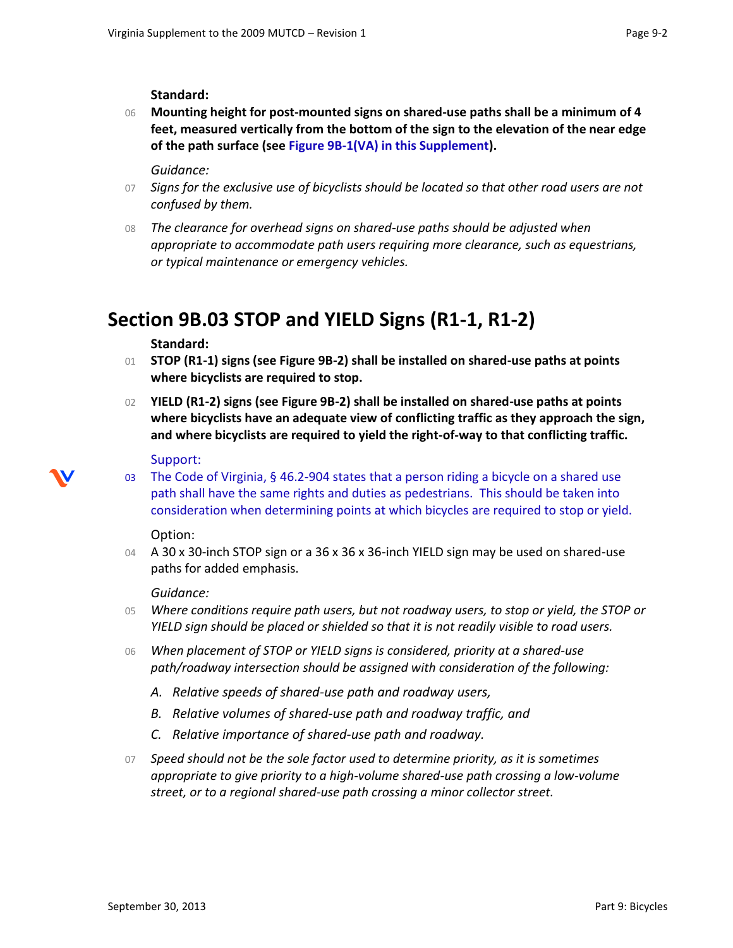**Standard:**

06 **Mounting height for post-mounted signs on shared-use paths shall be a minimum of 4 feet, measured vertically from the bottom of the sign to the elevation of the near edge of the path surface (see Figure 9B-1(VA) in this Supplement).**

*Guidance:*

- 07 *Signs for the exclusive use of bicyclists should be located so that other road users are not confused by them.*
- 08 *The clearance for overhead signs on shared-use paths should be adjusted when appropriate to accommodate path users requiring more clearance, such as equestrians, or typical maintenance or emergency vehicles.*

## **Section 9B.03 STOP and YIELD Signs (R1-1, R1-2)**

#### **Standard:**

- 01 **STOP (R1-1) signs (see Figure 9B-2) shall be installed on shared-use paths at points where bicyclists are required to stop.**
- 02 **YIELD (R1-2) signs (see Figure 9B-2) shall be installed on shared-use paths at points where bicyclists have an adequate view of conflicting traffic as they approach the sign, and where bicyclists are required to yield the right-of-way to that conflicting traffic.**

#### Support:

03 The Code of Virginia, § 46.2-904 states that a person riding a bicycle on a shared use path shall have the same rights and duties as pedestrians. This should be taken into consideration when determining points at which bicycles are required to stop or yield.

#### Option:

04 A 30 x 30-inch STOP sign or a 36 x 36 x 36-inch YIELD sign may be used on shared-use paths for added emphasis.

#### *Guidance:*

- 05 *Where conditions require path users, but not roadway users, to stop or yield, the STOP or YIELD sign should be placed or shielded so that it is not readily visible to road users.*
- 06 *When placement of STOP or YIELD signs is considered, priority at a shared-use path/roadway intersection should be assigned with consideration of the following:*
	- *A. Relative speeds of shared-use path and roadway users,*
	- *B. Relative volumes of shared-use path and roadway traffic, and*
	- *C. Relative importance of shared-use path and roadway.*
- 07 *Speed should not be the sole factor used to determine priority, as it is sometimes appropriate to give priority to a high-volume shared-use path crossing a low-volume street, or to a regional shared-use path crossing a minor collector street.*

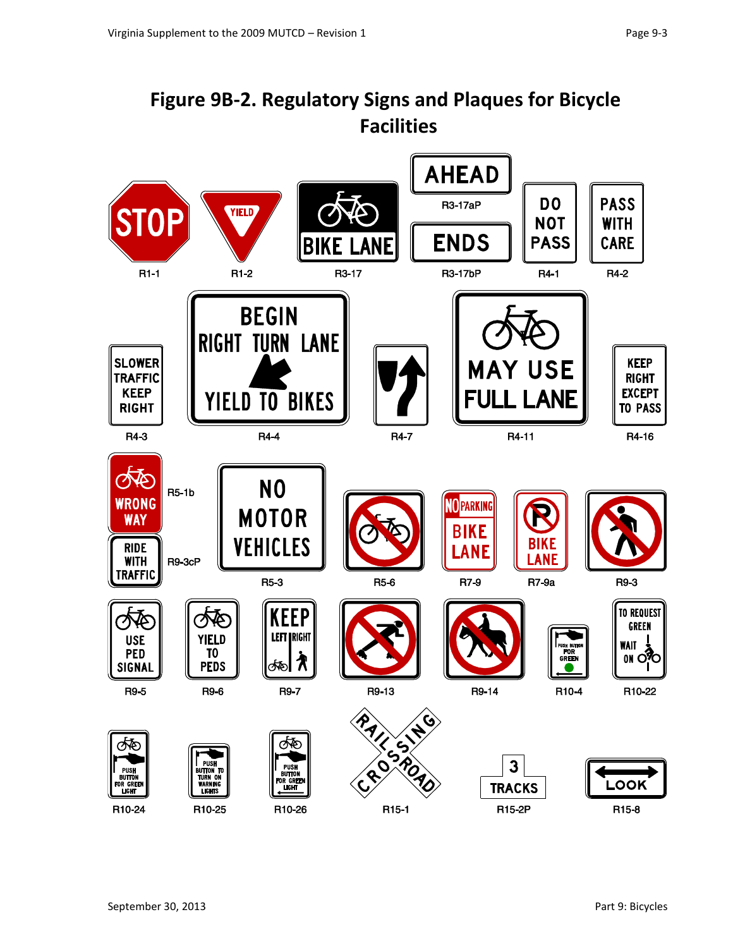## **Figure 9B-2. Regulatory Signs and Plaques for Bicycle Facilities**

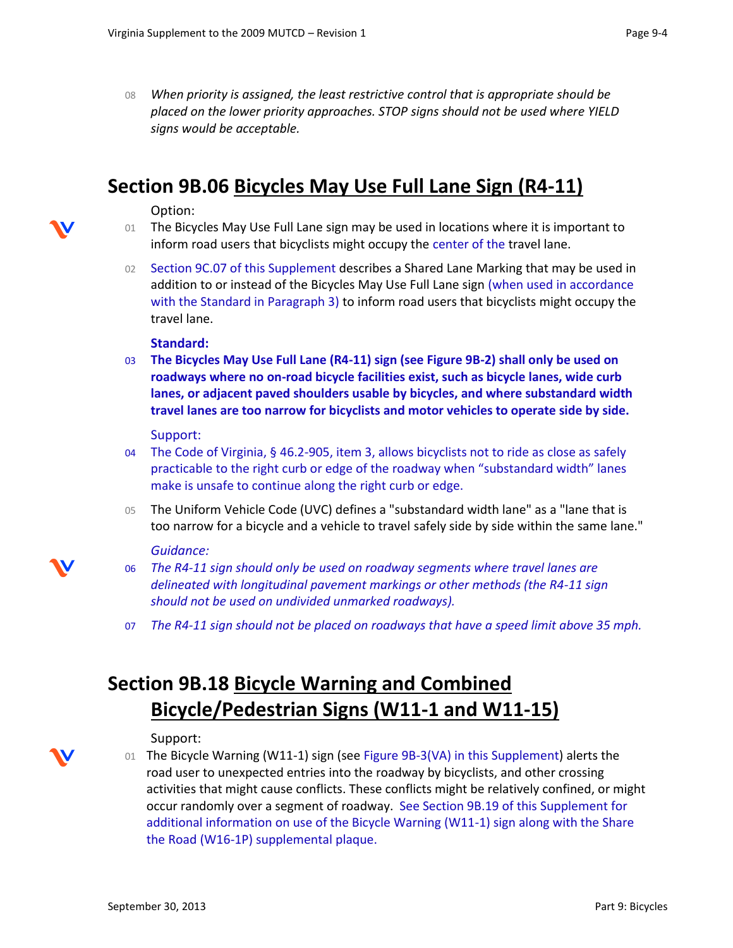08 *When priority is assigned, the least restrictive control that is appropriate should be placed on the lower priority approaches. STOP signs should not be used where YIELD signs would be acceptable.*

### **Section 9B.06 Bicycles May Use Full Lane Sign (R4-11)**

#### Option:

- 01 The Bicycles May Use Full Lane sign may be used in locations where it is important to inform road users that bicyclists might occupy the center of the travel lane.
- 02 Section 9C.07 of this Supplement describes a Shared Lane Marking that may be used in addition to or instead of the Bicycles May Use Full Lane sign (when used in accordance with the Standard in Paragraph 3) to inform road users that bicyclists might occupy the travel lane.

#### **Standard:**

03 **The Bicycles May Use Full Lane (R4-11) sign (see Figure 9B-2) shall only be used on roadways where no on-road bicycle facilities exist, such as bicycle lanes, wide curb lanes, or adjacent paved shoulders usable by bicycles, and where substandard width travel lanes are too narrow for bicyclists and motor vehicles to operate side by side.**

#### Support:

- 04 The Code of Virginia, § 46.2-905, item 3, allows bicyclists not to ride as close as safely practicable to the right curb or edge of the roadway when "substandard width" lanes make is unsafe to continue along the right curb or edge.
- 05 The Uniform Vehicle Code (UVC) defines a "substandard width lane" as a "lane that is too narrow for a bicycle and a vehicle to travel safely side by side within the same lane."

#### *Guidance:*

- 06 *The R4-11 sign should only be used on roadway segments where travel lanes are delineated with longitudinal pavement markings or other methods (the R4-11 sign should not be used on undivided unmarked roadways).*
- 07 *The R4-11 sign should not be placed on roadways that have a speed limit above 35 mph.*

## **Section 9B.18 Bicycle Warning and Combined Bicycle/Pedestrian Signs (W11-1 and W11-15)**

#### Support:

- 
- 01 The Bicycle Warning (W11-1) sign (see Figure 9B-3(VA) in this Supplement) alerts the road user to unexpected entries into the roadway by bicyclists, and other crossing activities that might cause conflicts. These conflicts might be relatively confined, or might occur randomly over a segment of roadway. See Section 9B.19 of this Supplement for additional information on use of the Bicycle Warning (W11-1) sign along with the Share the Road (W16-1P) supplemental plaque.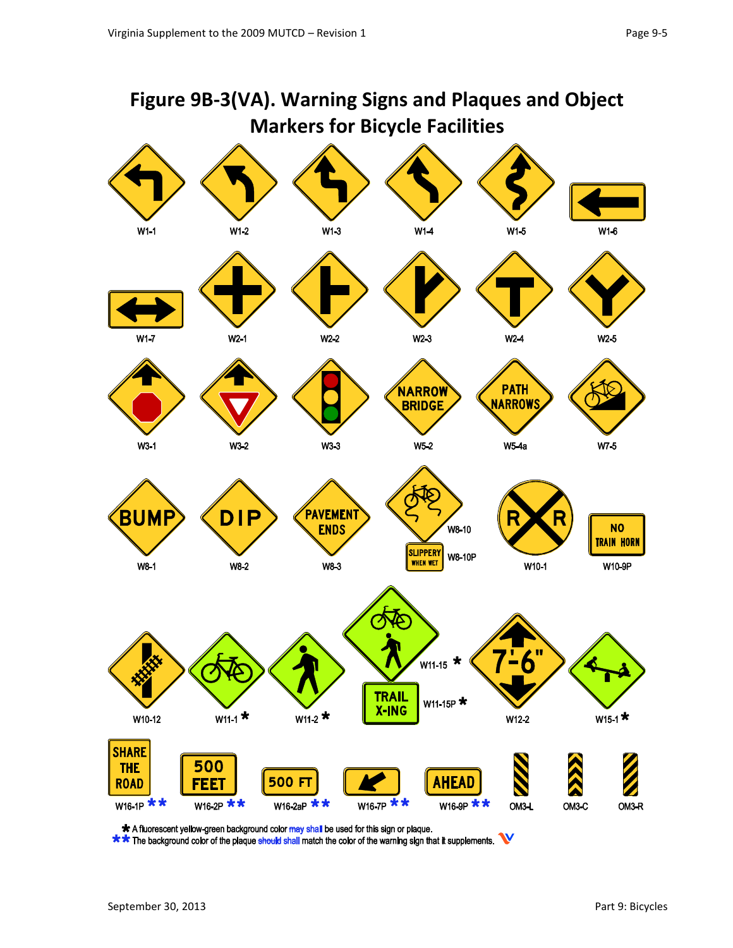

<sup>\*</sup> A fluorescent yellow-green background color may shall be used for this sign or plaque.

\*\* The background color of the plaque should shall match the color of the warning sign that it supplements.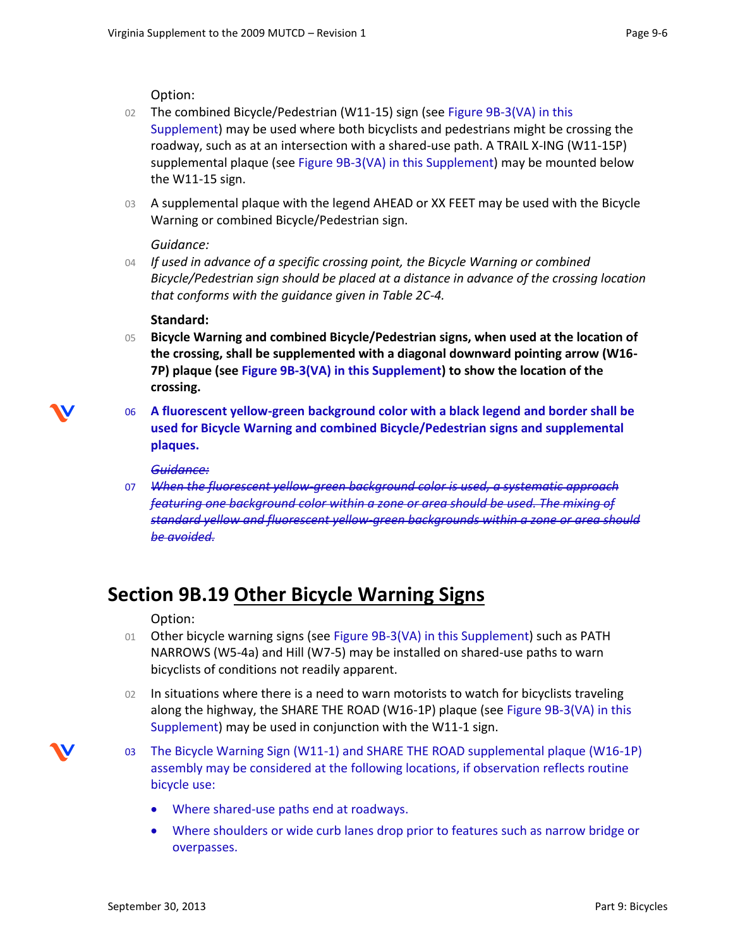Option:

- 02 The combined Bicycle/Pedestrian (W11-15) sign (see Figure 9B-3(VA) in this Supplement) may be used where both bicyclists and pedestrians might be crossing the roadway, such as at an intersection with a shared-use path. A TRAIL X-ING (W11-15P) supplemental plaque (see Figure 9B-3(VA) in this Supplement) may be mounted below the W11-15 sign.
- 03 A supplemental plaque with the legend AHEAD or XX FEET may be used with the Bicycle Warning or combined Bicycle/Pedestrian sign.

*Guidance:*

04 *If used in advance of a specific crossing point, the Bicycle Warning or combined Bicycle/Pedestrian sign should be placed at a distance in advance of the crossing location that conforms with the guidance given in Table 2C-4.*

#### **Standard:**

- 05 **Bicycle Warning and combined Bicycle/Pedestrian signs, when used at the location of the crossing, shall be supplemented with a diagonal downward pointing arrow (W16- 7P) plaque (see Figure 9B-3(VA) in this Supplement) to show the location of the crossing.**
- 06 **A fluorescent yellow-green background color with a black legend and border shall be used for Bicycle Warning and combined Bicycle/Pedestrian signs and supplemental plaques.**

#### *Guidance:*

07 *When the fluorescent yellow-green background color is used, a systematic approach featuring one background color within a zone or area should be used. The mixing of standard yellow and fluorescent yellow-green backgrounds within a zone or area should be avoided.*

## **Section 9B.19 Other Bicycle Warning Signs**

Option:

- 01 Other bicycle warning signs (see Figure 9B-3(VA) in this Supplement) such as PATH NARROWS (W5-4a) and Hill (W7-5) may be installed on shared-use paths to warn bicyclists of conditions not readily apparent.
- 02 In situations where there is a need to warn motorists to watch for bicyclists traveling along the highway, the SHARE THE ROAD (W16-1P) plaque (see Figure 9B-3(VA) in this Supplement) may be used in conjunction with the W11-1 sign.
- 03 The Bicycle Warning Sign (W11-1) and SHARE THE ROAD supplemental plaque (W16-1P) assembly may be considered at the following locations, if observation reflects routine bicycle use:
	- Where shared-use paths end at roadways.
	- Where shoulders or wide curb lanes drop prior to features such as narrow bridge or overpasses.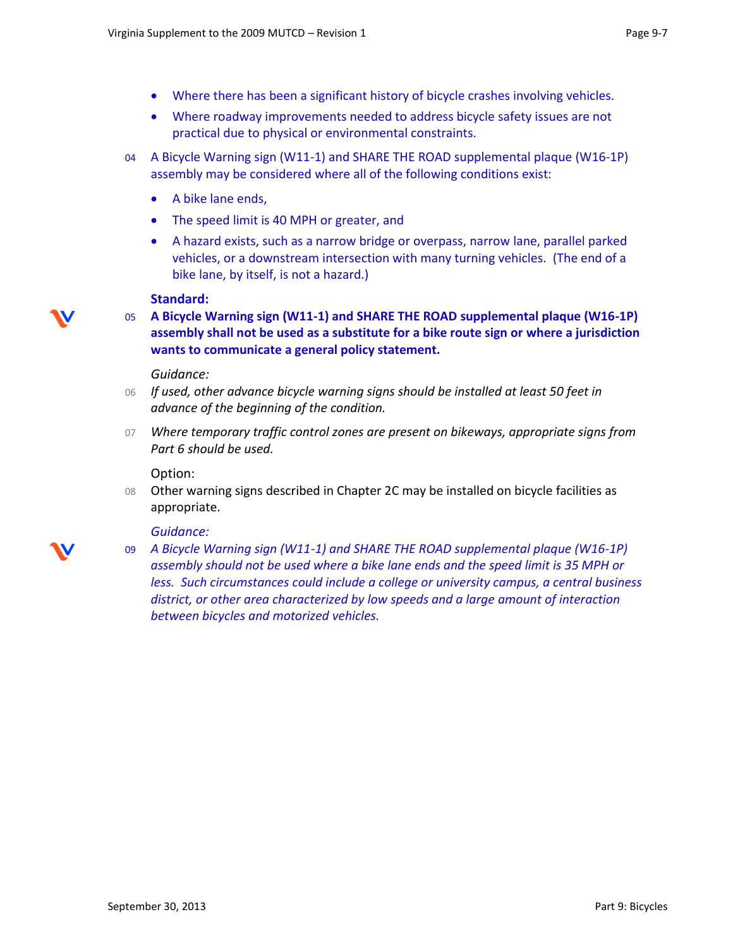- Where there has been a significant history of bicycle crashes involving vehicles.
- Where roadway improvements needed to address bicycle safety issues are not practical due to physical or environmental constraints.
- 04 A Bicycle Warning sign (W11-1) and SHARE THE ROAD supplemental plaque (W16-1P) assembly may be considered where all of the following conditions exist:
	- A bike lane ends,
	- The speed limit is 40 MPH or greater, and
	- A hazard exists, such as a narrow bridge or overpass, narrow lane, parallel parked vehicles, or a downstream intersection with many turning vehicles. (The end of a bike lane, by itself, is not a hazard.)

#### **Standard:**

05 **A Bicycle Warning sign (W11-1) and SHARE THE ROAD supplemental plaque (W16-1P) assembly shall not be used as a substitute for a bike route sign or where a jurisdiction wants to communicate a general policy statement.** 

#### *Guidance:*

- 06 *If used, other advance bicycle warning signs should be installed at least 50 feet in advance of the beginning of the condition.*
- 07 *Where temporary traffic control zones are present on bikeways, appropriate signs from Part 6 should be used.*

Option:

08 Other warning signs described in Chapter 2C may be installed on bicycle facilities as appropriate.

#### *Guidance:*

09 *A Bicycle Warning sign (W11-1) and SHARE THE ROAD supplemental plaque (W16-1P) assembly should not be used where a bike lane ends and the speed limit is 35 MPH or less. Such circumstances could include a college or university campus, a central business district, or other area characterized by low speeds and a large amount of interaction between bicycles and motorized vehicles.* 

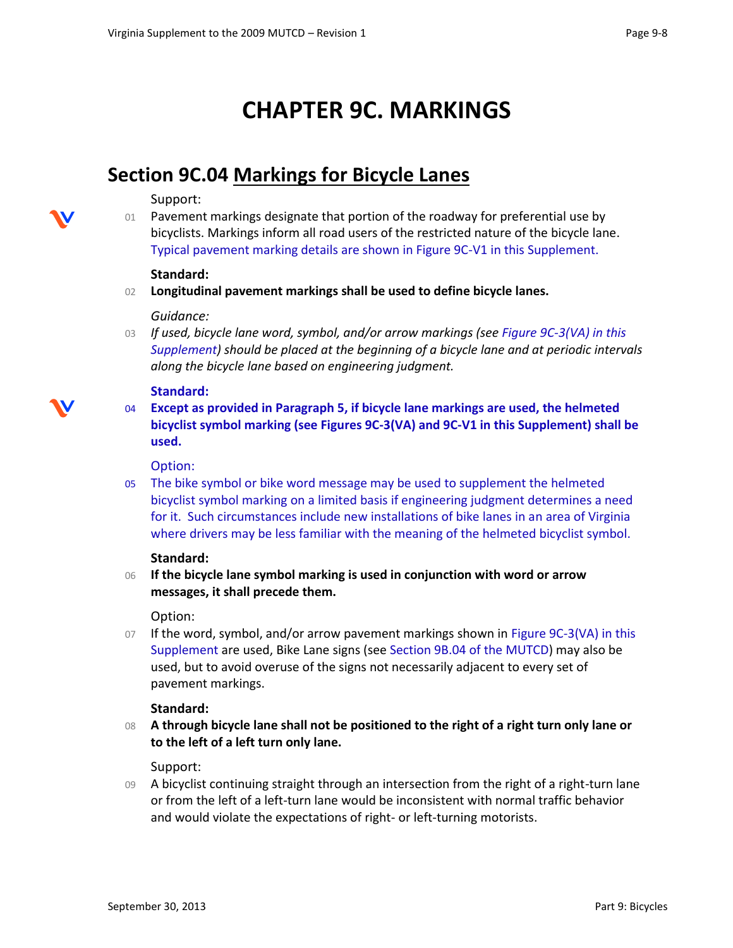## **CHAPTER 9C. MARKINGS**

### **Section 9C.04 Markings for Bicycle Lanes**

#### Support:

01 Pavement markings designate that portion of the roadway for preferential use by bicyclists. Markings inform all road users of the restricted nature of the bicycle lane. Typical pavement marking details are shown in Figure 9C-V1 in this Supplement.

#### **Standard:**

02 **Longitudinal pavement markings shall be used to define bicycle lanes.**

#### *Guidance:*

03 *If used, bicycle lane word, symbol, and/or arrow markings (see Figure 9C-3(VA) in this Supplement) should be placed at the beginning of a bicycle lane and at periodic intervals along the bicycle lane based on engineering judgment.* 

#### **Standard:**

- 
- 04 **Except as provided in Paragraph 5, if bicycle lane markings are used, the helmeted bicyclist symbol marking (see Figures 9C-3(VA) and 9C-V1 in this Supplement) shall be used.**

#### Option:

05 The bike symbol or bike word message may be used to supplement the helmeted bicyclist symbol marking on a limited basis if engineering judgment determines a need for it. Such circumstances include new installations of bike lanes in an area of Virginia where drivers may be less familiar with the meaning of the helmeted bicyclist symbol.

#### **Standard:**

06 **If the bicycle lane symbol marking is used in conjunction with word or arrow messages, it shall precede them.**

#### Option:

07 If the word, symbol, and/or arrow pavement markings shown in Figure 9C-3(VA) in this Supplement are used, Bike Lane signs (see Section 9B.04 of the MUTCD) may also be used, but to avoid overuse of the signs not necessarily adjacent to every set of pavement markings.

#### **Standard:**

08 **A through bicycle lane shall not be positioned to the right of a right turn only lane or to the left of a left turn only lane.** 

#### Support:

09 A bicyclist continuing straight through an intersection from the right of a right-turn lane or from the left of a left-turn lane would be inconsistent with normal traffic behavior and would violate the expectations of right- or left-turning motorists.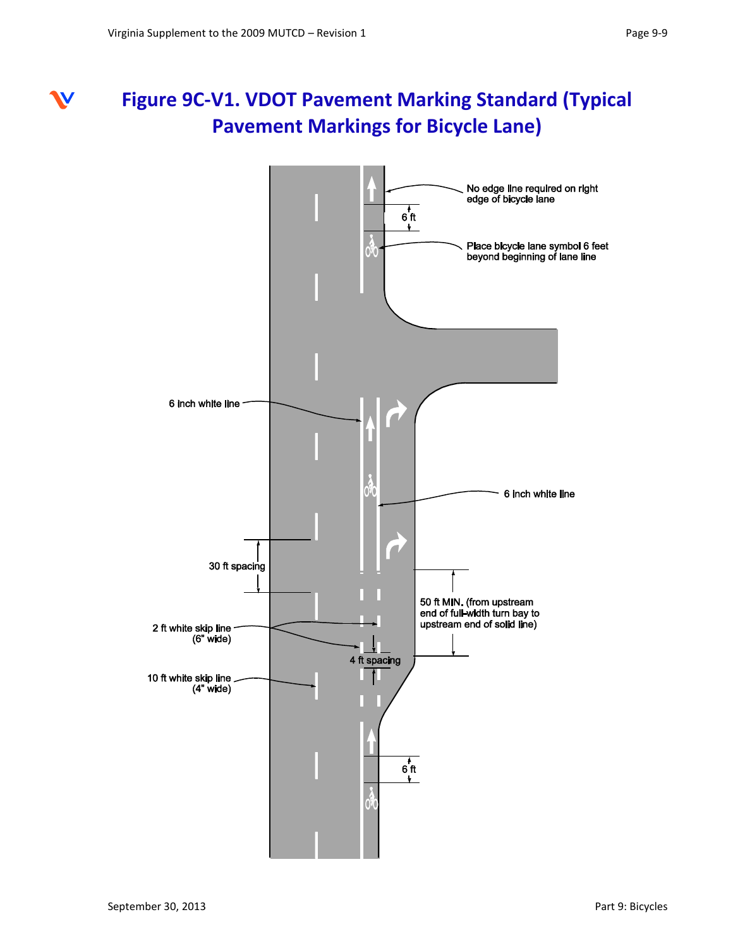#### **Figure 9C-V1. VDOT Pavement Marking Standard (Typical**  W **Pavement Markings for Bicycle Lane)**

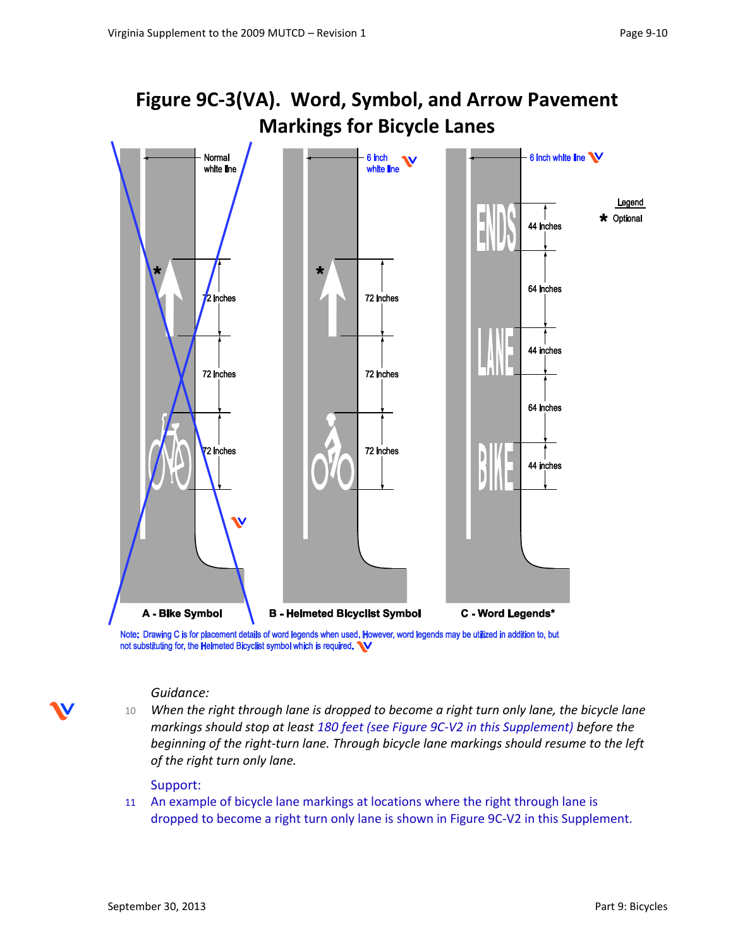



Note: Drawing C is for placement details of word legends when used. However, word legends may be utilized in addition to, but not substituting for, the Helmeted Bicyclist symbol which is required. W

#### *Guidance:*

10 *When the right through lane is dropped to become a right turn only lane, the bicycle lane markings should stop at least 180 feet (see Figure 9C-V2 in this Supplement) before the beginning of the right-turn lane. Through bicycle lane markings should resume to the left of the right turn only lane.* 

#### Support:

11 An example of bicycle lane markings at locations where the right through lane is dropped to become a right turn only lane is shown in Figure 9C-V2 in this Supplement.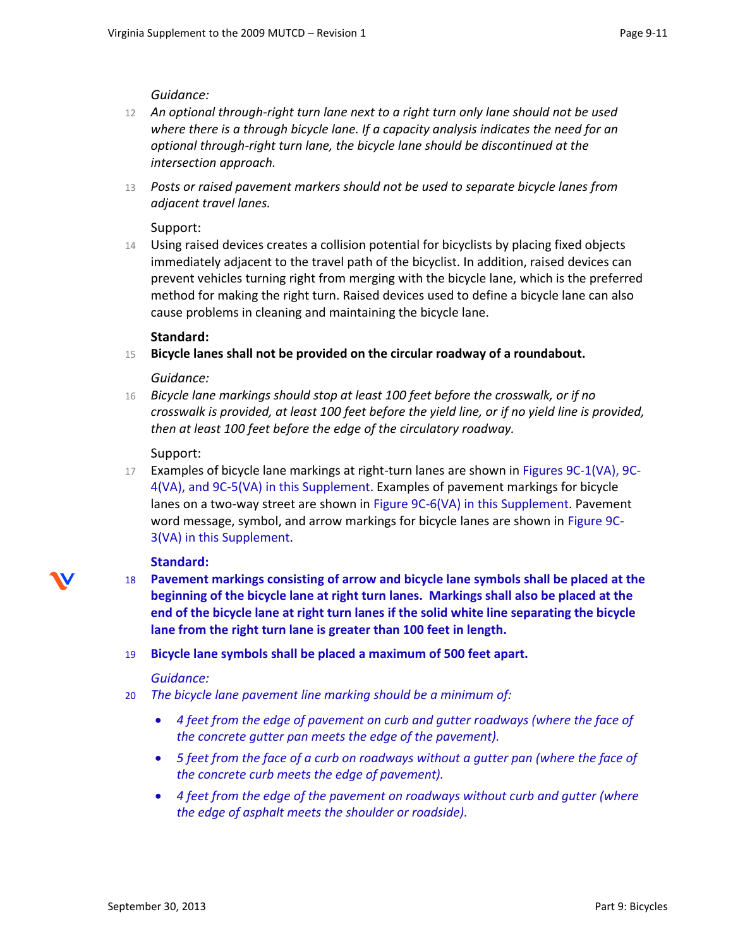#### *Guidance:*

- 12 *An optional through-right turn lane next to a right turn only lane should not be used where there is a through bicycle lane. If a capacity analysis indicates the need for an optional through-right turn lane, the bicycle lane should be discontinued at the intersection approach.*
- 13 *Posts or raised pavement markers should not be used to separate bicycle lanes from adjacent travel lanes.*

#### Support:

14 Using raised devices creates a collision potential for bicyclists by placing fixed objects immediately adjacent to the travel path of the bicyclist. In addition, raised devices can prevent vehicles turning right from merging with the bicycle lane, which is the preferred method for making the right turn. Raised devices used to define a bicycle lane can also cause problems in cleaning and maintaining the bicycle lane.

#### **Standard:**

15 **Bicycle lanes shall not be provided on the circular roadway of a roundabout.**

#### *Guidance:*

16 *Bicycle lane markings should stop at least 100 feet before the crosswalk, or if no crosswalk is provided, at least 100 feet before the yield line, or if no yield line is provided, then at least 100 feet before the edge of the circulatory roadway.*

#### Support:

17 Examples of bicycle lane markings at right-turn lanes are shown in Figures 9C-1(VA), 9C-4(VA), and 9C-5(VA) in this Supplement. Examples of pavement markings for bicycle lanes on a two-way street are shown in Figure 9C-6(VA) in this Supplement. Pavement word message, symbol, and arrow markings for bicycle lanes are shown in Figure 9C-3(VA) in this Supplement.

#### **Standard:**

18 **Pavement markings consisting of arrow and bicycle lane symbols shall be placed at the beginning of the bicycle lane at right turn lanes. Markings shall also be placed at the end of the bicycle lane at right turn lanes if the solid white line separating the bicycle lane from the right turn lane is greater than 100 feet in length.**

#### 19 **Bicycle lane symbols shall be placed a maximum of 500 feet apart.**

#### *Guidance:*

- 20 *The bicycle lane pavement line marking should be a minimum of:*
	- *4 feet from the edge of pavement on curb and gutter roadways (where the face of the concrete gutter pan meets the edge of the pavement).*
	- *5 feet from the face of a curb on roadways without a gutter pan (where the face of the concrete curb meets the edge of pavement).*
	- 4 feet from the edge of the pavement on roadways without curb and gutter (where *the edge of asphalt meets the shoulder or roadside).*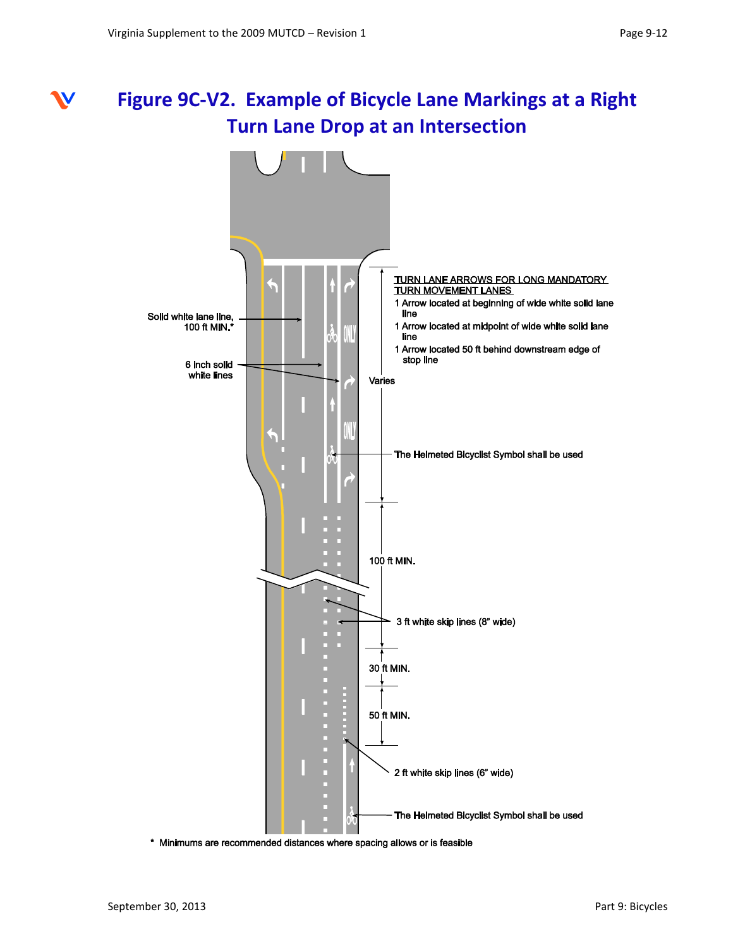## **Figure 9C-V2. Example of Bicycle Lane Markings at a Right Turn Lane Drop at an Intersection**



\* Minimums are recommended distances where spacing allows or is feasible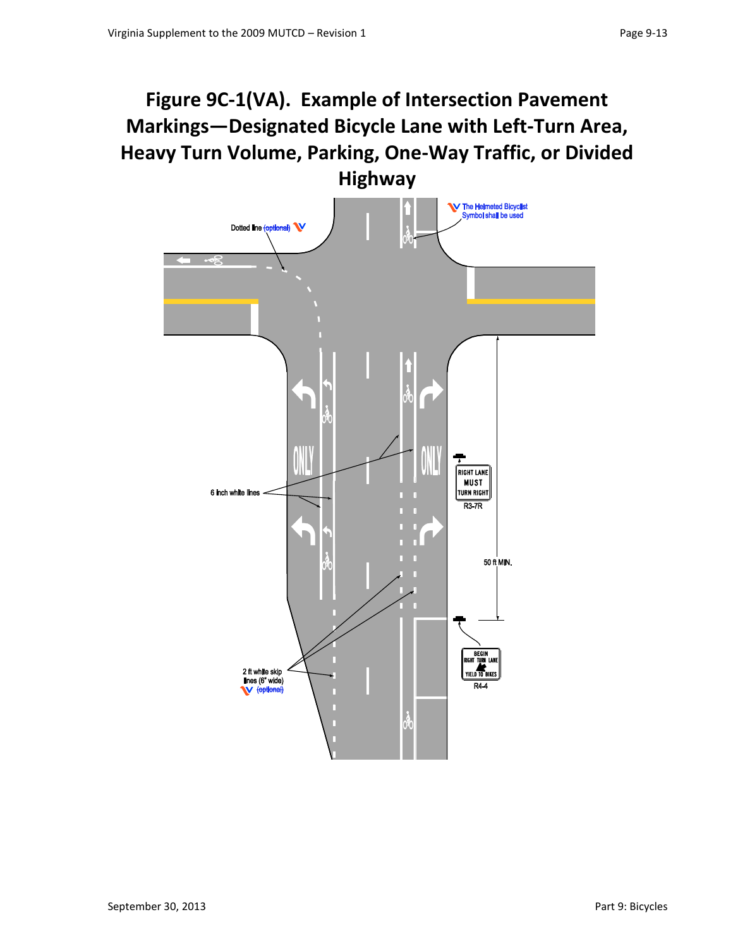## **Figure 9C-1(VA). Example of Intersection Pavement Markings—Designated Bicycle Lane with Left-Turn Area, Heavy Turn Volume, Parking, One-Way Traffic, or Divided**

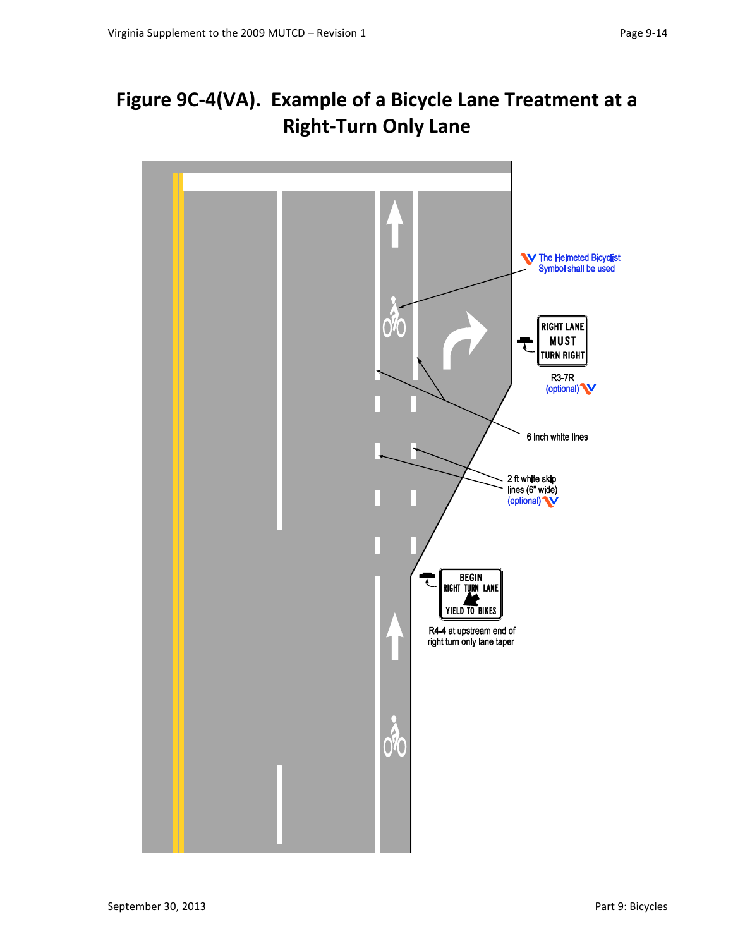## **Figure 9C-4(VA). Example of a Bicycle Lane Treatment at a Right-Turn Only Lane**

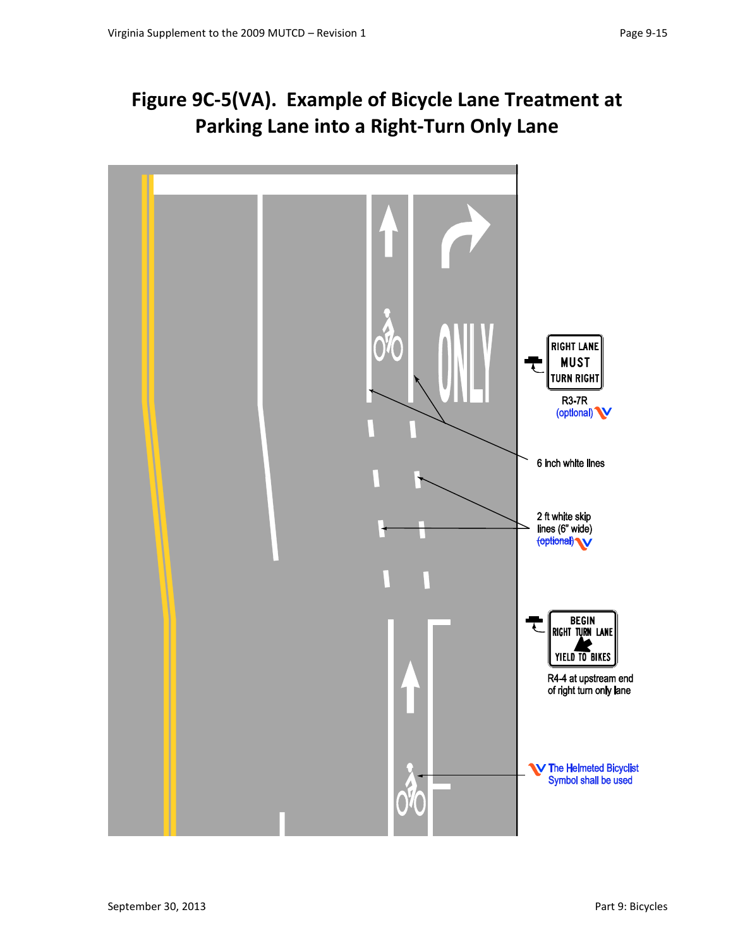## **Figure 9C-5(VA). Example of Bicycle Lane Treatment at Parking Lane into a Right-Turn Only Lane**

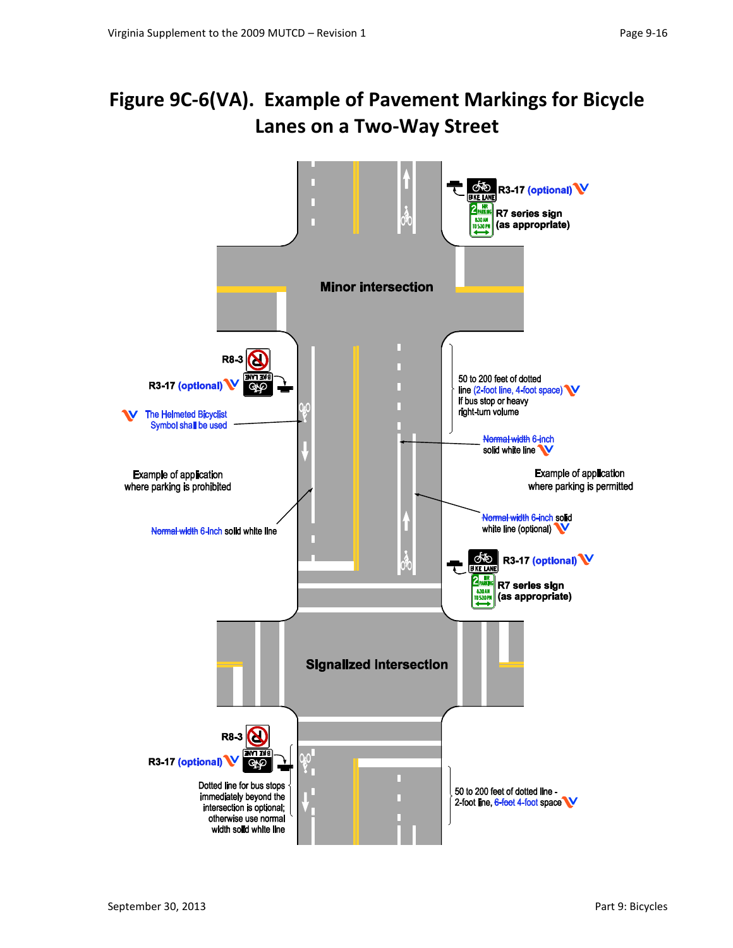## **Figure 9C-6(VA). Example of Pavement Markings for Bicycle Lanes on a Two-Way Street**

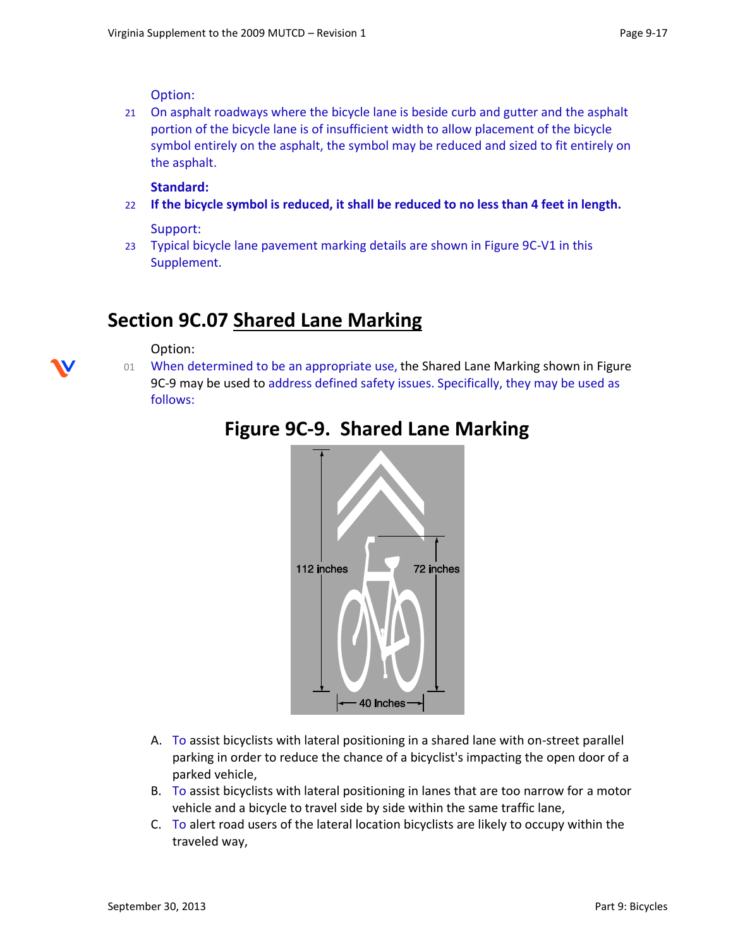Option:

21 On asphalt roadways where the bicycle lane is beside curb and gutter and the asphalt portion of the bicycle lane is of insufficient width to allow placement of the bicycle symbol entirely on the asphalt, the symbol may be reduced and sized to fit entirely on the asphalt.

#### **Standard:**

22 **If the bicycle symbol is reduced, it shall be reduced to no less than 4 feet in length.**

Support:

23 Typical bicycle lane pavement marking details are shown in Figure 9C-V1 in this Supplement.

### **Section 9C.07 Shared Lane Marking**

Option:

01 When determined to be an appropriate use, the Shared Lane Marking shown i[n Figure](http://www.mutcd.fhwa.dot.gov/htm/2009r1r2/part9/part9c.htm#figure9C09)  [9C-9](http://www.mutcd.fhwa.dot.gov/htm/2009r1r2/part9/part9c.htm#figure9C09) may be used to address defined safety issues. Specifically, they may be used as follows:



### **Figure 9C-9. Shared Lane Marking**

- A. To assist bicyclists with lateral positioning in a shared lane with on-street parallel parking in order to reduce the chance of a bicyclist's impacting the open door of a parked vehicle,
- B. To assist bicyclists with lateral positioning in lanes that are too narrow for a motor vehicle and a bicycle to travel side by side within the same traffic lane,
- C. To alert road users of the lateral location bicyclists are likely to occupy within the traveled way,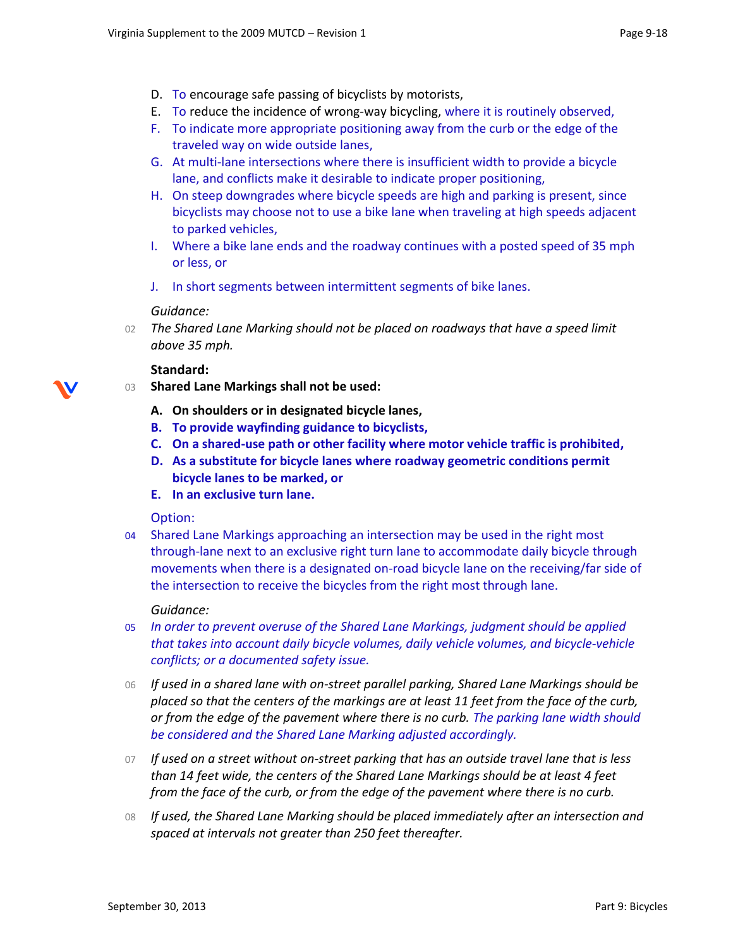- D. To encourage safe passing of bicyclists by motorists,
- E. To reduce the incidence of wrong-way bicycling, where it is routinely observed,
- F. To indicate more appropriate positioning away from the curb or the edge of the traveled way on wide outside lanes,
- G. At multi-lane intersections where there is insufficient width to provide a bicycle lane, and conflicts make it desirable to indicate proper positioning,
- H. On steep downgrades where bicycle speeds are high and parking is present, since bicyclists may choose not to use a bike lane when traveling at high speeds adjacent to parked vehicles,
- I. Where a bike lane ends and the roadway continues with a posted speed of 35 mph or less, or
- J. In short segments between intermittent segments of bike lanes.

#### *Guidance:*

02 *The Shared Lane Marking should not be placed on roadways that have a speed limit above 35 mph.*

#### **Standard:**

- 03 **Shared Lane Markings shall not be used:** 
	- **A. On shoulders or in designated bicycle lanes,**
	- **B. To provide wayfinding guidance to bicyclists,**
	- **C. On a shared-use path or other facility where motor vehicle traffic is prohibited,**
	- **D. As a substitute for bicycle lanes where roadway geometric conditions permit bicycle lanes to be marked, or**
	- **E. In an exclusive turn lane.**

Option:

04 Shared Lane Markings approaching an intersection may be used in the right most through-lane next to an exclusive right turn lane to accommodate daily bicycle through movements when there is a designated on-road bicycle lane on the receiving/far side of the intersection to receive the bicycles from the right most through lane.

#### *Guidance:*

- 05 *In order to prevent overuse of the Shared Lane Markings, judgment should be applied that takes into account daily bicycle volumes, daily vehicle volumes, and bicycle-vehicle conflicts; or a documented safety issue.*
- 06 *If used in a shared lane with on-street parallel parking, Shared Lane Markings should be placed so that the centers of the markings are at least 11 feet from the face of the curb, or from the edge of the pavement where there is no curb. The parking lane width should be considered and the Shared Lane Marking adjusted accordingly.*
- 07 *If used on a street without on-street parking that has an outside travel lane that is less than 14 feet wide, the centers of the Shared Lane Markings should be at least 4 feet from the face of the curb, or from the edge of the pavement where there is no curb.*
- 08 *If used, the Shared Lane Marking should be placed immediately after an intersection and spaced at intervals not greater than 250 feet thereafter.*